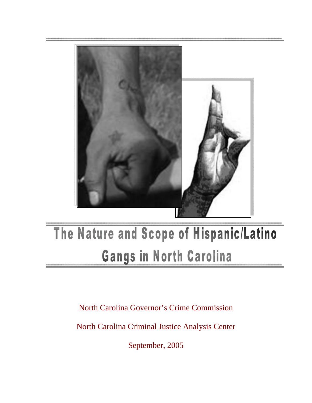

# The Nature and Scope of Hispanic/Latino **Gangs in North Carolina**

North Carolina Governor's Crime Commission

North Carolina Criminal Justice Analysis Center

September, 2005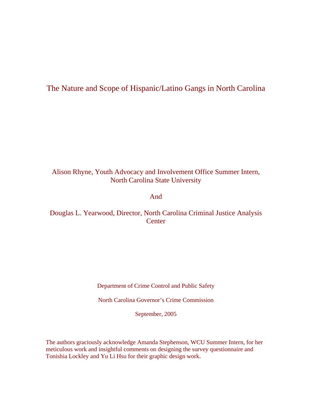# The Nature and Scope of Hispanic/Latino Gangs in North Carolina

# Alison Rhyne, Youth Advocacy and Involvement Office Summer Intern, North Carolina State University

#### And

# Douglas L. Yearwood, Director, North Carolina Criminal Justice Analysis **Center**

Department of Crime Control and Public Safety

North Carolina Governor's Crime Commission

September, 2005

The authors graciously acknowledge Amanda Stephenson, WCU Summer Intern, for her meticulous work and insightful comments on designing the survey questionnaire and Tonishia Lockley and Yu Li Hsu for their graphic design work.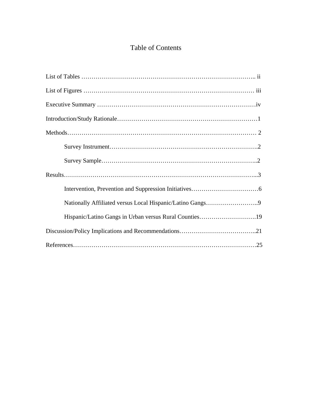# Table of Contents

| Hispanic/Latino Gangs in Urban versus Rural Counties19 |
|--------------------------------------------------------|
|                                                        |
|                                                        |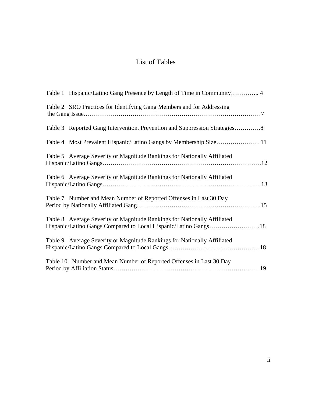# List of Tables

| Table 2 SRO Practices for Identifying Gang Members and for Addressing                                                                       |
|---------------------------------------------------------------------------------------------------------------------------------------------|
| Table 3 Reported Gang Intervention, Prevention and Suppression Strategies8                                                                  |
|                                                                                                                                             |
| Table 5 Average Severity or Magnitude Rankings for Nationally Affiliated                                                                    |
| Table 6 Average Severity or Magnitude Rankings for Nationally Affiliated                                                                    |
| Table 7 Number and Mean Number of Reported Offenses in Last 30 Day                                                                          |
| Table 8 Average Severity or Magnitude Rankings for Nationally Affiliated<br>Hispanic/Latino Gangs Compared to Local Hispanic/Latino Gangs18 |
| Table 9 Average Severity or Magnitude Rankings for Nationally Affiliated                                                                    |
| Table 10 Number and Mean Number of Reported Offenses in Last 30 Day                                                                         |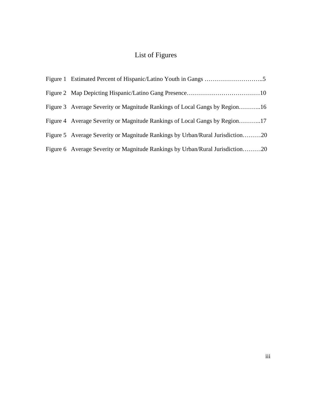# List of Figures

| Figure 3 Average Severity or Magnitude Rankings of Local Gangs by Region16    |
|-------------------------------------------------------------------------------|
| Figure 4 Average Severity or Magnitude Rankings of Local Gangs by Region17    |
| Figure 5 Average Severity or Magnitude Rankings by Urban/Rural Jurisdiction20 |
| Figure 6 Average Severity or Magnitude Rankings by Urban/Rural Jurisdiction20 |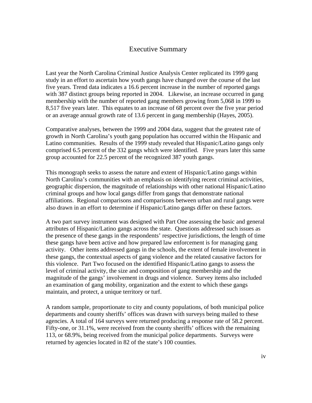### Executive Summary

Last year the North Carolina Criminal Justice Analysis Center replicated its 1999 gang study in an effort to ascertain how youth gangs have changed over the course of the last five years. Trend data indicates a 16.6 percent increase in the number of reported gangs with 387 distinct groups being reported in 2004. Likewise, an increase occurred in gang membership with the number of reported gang members growing from 5,068 in 1999 to 8,517 five years later. This equates to an increase of 68 percent over the five year period or an average annual growth rate of 13.6 percent in gang membership (Hayes, 2005).

Comparative analyses, between the 1999 and 2004 data, suggest that the greatest rate of growth in North Carolina's youth gang population has occurred within the Hispanic and Latino communities. Results of the 1999 study revealed that Hispanic/Latino gangs only comprised 6.5 percent of the 332 gangs which were identified. Five years later this same group accounted for 22.5 percent of the recognized 387 youth gangs.

This monograph seeks to assess the nature and extent of Hispanic/Latino gangs within North Carolina's communities with an emphasis on identifying recent criminal activities, geographic dispersion, the magnitude of relationships with other national Hispanic/Latino criminal groups and how local gangs differ from gangs that demonstrate national affiliations. Regional comparisons and comparisons between urban and rural gangs were also drawn in an effort to determine if Hispanic/Latino gangs differ on these factors.

A two part survey instrument was designed with Part One assessing the basic and general attributes of Hispanic/Latino gangs across the state. Questions addressed such issues as the presence of these gangs in the respondents' respective jurisdictions, the length of time these gangs have been active and how prepared law enforcement is for managing gang activity. Other items addressed gangs in the schools, the extent of female involvement in these gangs, the contextual aspects of gang violence and the related causative factors for this violence. Part Two focused on the identified Hispanic/Latino gangs to assess the level of criminal activity, the size and composition of gang membership and the magnitude of the gangs' involvement in drugs and violence. Survey items also included an examination of gang mobility, organization and the extent to which these gangs maintain, and protect, a unique territory or turf.

A random sample, proportionate to city and county populations, of both municipal police departments and county sheriffs' offices was drawn with surveys being mailed to these agencies. A total of 164 surveys were returned producing a response rate of 58.2 percent. Fifty-one, or 31.1%, were received from the county sheriffs' offices with the remaining 113, or 68.9%, being received from the municipal police departments. Surveys were returned by agencies located in 82 of the state's 100 counties.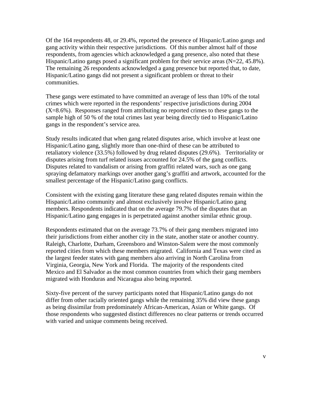Of the 164 respondents 48, or 29.4%, reported the presence of Hispanic/Latino gangs and gang activity within their respective jurisdictions. Of this number almost half of those respondents, from agencies which acknowledged a gang presence, also noted that these Hispanic/Latino gangs posed a significant problem for their service areas (N=22, 45.8%). The remaining 26 respondents acknowledged a gang presence but reported that, to date, Hispanic/Latino gangs did not present a significant problem or threat to their communities.

These gangs were estimated to have committed an average of less than 10% of the total crimes which were reported in the respondents' respective jurisdictions during 2004  $(X=8.6\%)$ . Responses ranged from attributing no reported crimes to these gangs to the sample high of 50 % of the total crimes last year being directly tied to Hispanic/Latino gangs in the respondent's service area.

Study results indicated that when gang related disputes arise, which involve at least one Hispanic/Latino gang, slightly more than one-third of these can be attributed to retaliatory violence (33.5%) followed by drug related disputes (29.6%). Territoriality or disputes arising from turf related issues accounted for 24.5% of the gang conflicts. Disputes related to vandalism or arising from graffiti related wars, such as one gang spraying defamatory markings over another gang's graffiti and artwork, accounted for the smallest percentage of the Hispanic/Latino gang conflicts.

Consistent with the existing gang literature these gang related disputes remain within the Hispanic/Latino community and almost exclusively involve Hispanic/Latino gang members. Respondents indicated that on the average 79.7% of the disputes that an Hispanic/Latino gang engages in is perpetrated against another similar ethnic group.

Respondents estimated that on the average 73.7% of their gang members migrated into their jurisdictions from either another city in the state, another state or another country. Raleigh, Charlotte, Durham, Greensboro and Winston-Salem were the most commonly reported cities from which these members migrated. California and Texas were cited as the largest feeder states with gang members also arriving in North Carolina from Virginia, Georgia, New York and Florida. The majority of the respondents cited Mexico and El Salvador as the most common countries from which their gang members migrated with Honduras and Nicaragua also being reported.

Sixty-five percent of the survey participants noted that Hispanic/Latino gangs do not differ from other racially oriented gangs while the remaining 35% did view these gangs as being dissimilar from predominately African-American, Asian or White gangs. Of those respondents who suggested distinct differences no clear patterns or trends occurred with varied and unique comments being received.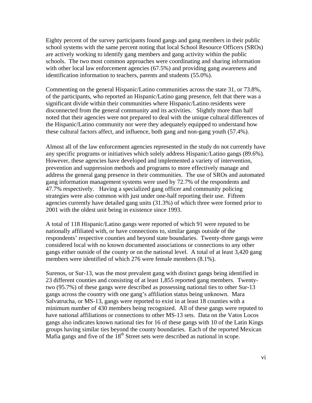Eighty percent of the survey participants found gangs and gang members in their public school systems with the same percent noting that local School Resource Officers (SROs) are actively working to identify gang members and gang activity within the public schools. The two most common approaches were coordinating and sharing information with other local law enforcement agencies (67.5%) and providing gang awareness and identification information to teachers, parents and students (55.0%).

Commenting on the general Hispanic/Latino communities across the state 31, or 73.8%, of the participants, who reported an Hispanic/Latino gang presence, felt that there was a significant divide within their communities where Hispanic/Latino residents were disconnected from the general community and its activities. Slightly more than half noted that their agencies were not prepared to deal with the unique cultural differences of the Hispanic/Latino community nor were they adequately equipped to understand how these cultural factors affect, and influence, both gang and non-gang youth (57.4%).

Almost all of the law enforcement agencies represented in the study do not currently have any specific programs or initiatives which solely address Hispanic/Latino gangs (89.6%). However, these agencies have developed and implemented a variety of intervention, prevention and suppression methods and programs to more effectively manage and address the general gang presence in their communities. The use of SROs and automated gang information management systems were used by 72.7% of the respondents and 47.7% respectively. Having a specialized gang officer and community policing strategies were also common with just under one-half reporting their use. Fifteen agencies currently have detailed gang units (31.3%) of which three were formed prior to 2001 with the oldest unit being in existence since 1993.

A total of 118 Hispanic/Latino gangs were reported of which 91 were reputed to be nationally affiliated with, or have connections to, similar gangs outside of the respondents' respective counties and beyond state boundaries. Twenty-three gangs were considered local with no known documented associations or connections to any other gangs either outside of the county or on the national level. A total of at least 3,420 gang members were identified of which 276 were female members (8.1%).

Surenos, or Sur-13, was the most prevalent gang with distinct gangs being identified in 23 different counties and consisting of at least 1,855 reported gang members. Twentytwo (95.7%) of these gangs were described as possessing national ties to other Sur-13 gangs across the country with one gang's affiliation status being unknown. Mara Salvatrucha, or MS-13, gangs were reported to exist in at least 18 counties with a minimum number of 430 members being recognized. All of these gangs were reputed to have national affiliations or connections to other MS-13 sets. Data on the Vatos Locos gangs also indicates known national ties for 16 of these gangs with 10 of the Latin Kings groups having similar ties beyond the county boundaries. Each of the reported Mexican Mafia gangs and five of the  $18<sup>th</sup>$  Street sets were described as national in scope.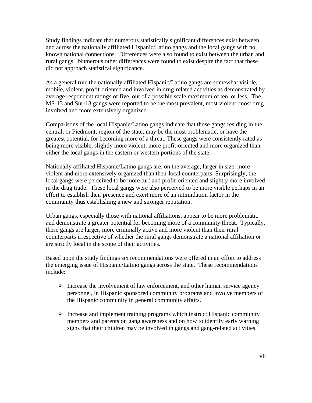Study findings indicate that numerous statistically significant differences exist between and across the nationally affiliated Hispanic/Latino gangs and the local gangs with no known national connections. Differences were also found to exist between the urban and rural gangs. Numerous other differences were found to exist despite the fact that these did not approach statistical significance.

As a general rule the nationally affiliated Hispanic/Latino gangs are somewhat visible, mobile, violent, profit-oriented and involved in drug-related activities as demonstrated by average respondent ratings of five, out of a possible scale maximum of ten, or less. The MS-13 and Sur-13 gangs were reported to be the most prevalent, most violent, most drug involved and more extensively organized.

Comparisons of the local Hispanic/Latino gangs indicate that those gangs residing in the central, or Piedmont, region of the state, may be the most problematic, or have the greatest potential, for becoming more of a threat. These gangs were consistently rated as being more visible, slightly more violent, more profit-oriented and more organized than either the local gangs in the eastern or western portions of the state.

Nationally affiliated Hispanic/Latino gangs are, on the average, larger in size, more violent and more extensively organized than their local counterparts. Surprisingly, the local gangs were perceived to be more turf and profit-oriented and slightly more involved in the drug trade. These local gangs were also perceived to be more visible perhaps in an effort to establish their presence and exert more of an intimidation factor in the community thus establishing a new and stronger reputation.

Urban gangs, especially those with national affiliations, appear to be more problematic and demonstrate a greater potential for becoming more of a community threat. Typically, these gangs are larger, more criminally active and more violent than their rural counterparts irrespective of whether the rural gangs demonstrate a national affiliation or are strictly local in the scope of their activities.

Based upon the study findings six recommendations were offered in an effort to address the emerging issue of Hispanic/Latino gangs across the state. These recommendations include:

- $\triangleright$  Increase the involvement of law enforcement, and other human service agency personnel, in Hispanic sponsored community programs and involve members of the Hispanic community in general community affairs.
- $\triangleright$  Increase and implement training programs which instruct Hispanic community members and parents on gang awareness and on how to identify early warning signs that their children may be involved in gangs and gang-related activities.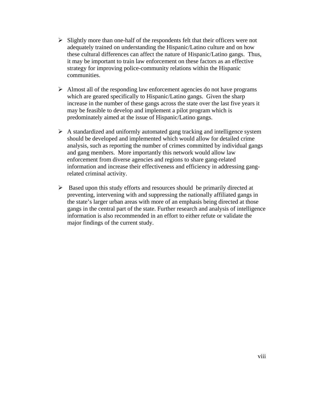- $\triangleright$  Slightly more than one-half of the respondents felt that their officers were not adequately trained on understanding the Hispanic/Latino culture and on how these cultural differences can affect the nature of Hispanic/Latino gangs. Thus, it may be important to train law enforcement on these factors as an effective strategy for improving police-community relations within the Hispanic communities.
- $\triangleright$  Almost all of the responding law enforcement agencies do not have programs which are geared specifically to Hispanic/Latino gangs. Given the sharp increase in the number of these gangs across the state over the last five years it may be feasible to develop and implement a pilot program which is predominately aimed at the issue of Hispanic/Latino gangs.
- $\triangleright$  A standardized and uniformly automated gang tracking and intelligence system should be developed and implemented which would allow for detailed crime analysis, such as reporting the number of crimes committed by individual gangs and gang members. More importantly this network would allow law enforcement from diverse agencies and regions to share gang-related information and increase their effectiveness and efficiency in addressing gangrelated criminal activity.
- $\triangleright$  Based upon this study efforts and resources should be primarily directed at preventing, intervening with and suppressing the nationally affiliated gangs in the state's larger urban areas with more of an emphasis being directed at those gangs in the central part of the state. Further research and analysis of intelligence information is also recommended in an effort to either refute or validate the major findings of the current study.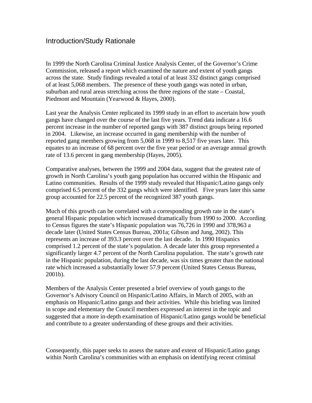# Introduction/Study Rationale

In 1999 the North Carolina Criminal Justice Analysis Center, of the Governor's Crime Commission, released a report which examined the nature and extent of youth gangs across the state. Study findings revealed a total of at least 332 distinct gangs comprised of at least 5,068 members. The presence of these youth gangs was noted in urban, suburban and rural areas stretching across the three regions of the state – Coastal, Piedmont and Mountain (Yearwood & Hayes, 2000).

Last year the Analysis Center replicated its 1999 study in an effort to ascertain how youth gangs have changed over the course of the last five years. Trend data indicate a 16.6 percent increase in the number of reported gangs with 387 distinct groups being reported in 2004. Likewise, an increase occurred in gang membership with the number of reported gang members growing from 5,068 in 1999 to 8,517 five years later. This equates to an increase of 68 percent over the five year period or an average annual growth rate of 13.6 percent in gang membership (Hayes, 2005).

Comparative analyses, between the 1999 and 2004 data, suggest that the greatest rate of growth in North Carolina's youth gang population has occurred within the Hispanic and Latino communities. Results of the 1999 study revealed that Hispanic/Latino gangs only comprised 6.5 percent of the 332 gangs which were identified. Five years later this same group accounted for 22.5 percent of the recognized 387 youth gangs.

Much of this growth can be correlated with a corresponding growth rate in the state's general Hispanic population which increased dramatically from 1990 to 2000. According to Census figures the state's Hispanic population was 76,726 in 1990 and 378,963 a decade later (United States Census Bureau, 2001a; Gibson and Jung, 2002). This represents an increase of 393.3 percent over the last decade. In 1990 Hispanics comprised 1.2 percent of the state's population. A decade later this group represented a significantly larger 4.7 percent of the North Carolina population. The state's growth rate in the Hispanic population, during the last decade, was six times greater than the national rate which increased a substantially lower 57.9 percent (United States Census Bureau, 2001b).

Members of the Analysis Center presented a brief overview of youth gangs to the Governor's Advisory Council on Hispanic/Latino Affairs, in March of 2005, with an emphasis on Hispanic/Latino gangs and their activities. While this briefing was limited in scope and elementary the Council members expressed an interest in the topic and suggested that a more in-depth examination of Hispanic/Latino gangs would be beneficial and contribute to a greater understanding of these groups and their activities.

Consequently, this paper seeks to assess the nature and extent of Hispanic/Latino gangs within North Carolina's communities with an emphasis on identifying recent criminal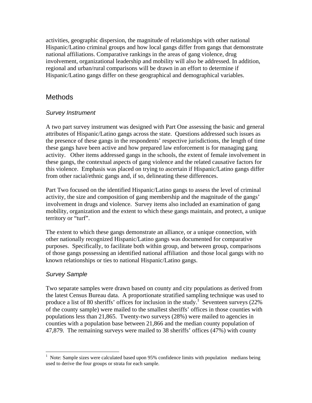activities, geographic dispersion, the magnitude of relationships with other national Hispanic/Latino criminal groups and how local gangs differ from gangs that demonstrate national affiliations. Comparative rankings in the areas of gang violence, drug involvement, organizational leadership and mobility will also be addressed. In addition, regional and urban/rural comparisons will be drawn in an effort to determine if Hispanic/Latino gangs differ on these geographical and demographical variables.

## Methods

#### *Survey Instrument*

A two part survey instrument was designed with Part One assessing the basic and general attributes of Hispanic/Latino gangs across the state. Questions addressed such issues as the presence of these gangs in the respondents' respective jurisdictions, the length of time these gangs have been active and how prepared law enforcement is for managing gang activity. Other items addressed gangs in the schools, the extent of female involvement in these gangs, the contextual aspects of gang violence and the related causative factors for this violence. Emphasis was placed on trying to ascertain if Hispanic/Latino gangs differ from other racial/ethnic gangs and, if so, delineating these differences.

Part Two focused on the identified Hispanic/Latino gangs to assess the level of criminal activity, the size and composition of gang membership and the magnitude of the gangs' involvement in drugs and violence. Survey items also included an examination of gang mobility, organization and the extent to which these gangs maintain, and protect, a unique territory or "turf".

The extent to which these gangs demonstrate an alliance, or a unique connection, with other nationally recognized Hispanic/Latino gangs was documented for comparative purposes. Specifically, to facilitate both within group, and between group, comparisons of those gangs possessing an identified national affiliation and those local gangs with no known relationships or ties to national Hispanic/Latino gangs.

#### *Survey Sample*

 $\overline{a}$ 

Two separate samples were drawn based on county and city populations as derived from the latest Census Bureau data. A proportionate stratified sampling technique was used to produce a list of 80 sheriffs' offices for inclusion in the study.<sup>1</sup> Seventeen surveys (22%) of the county sample) were mailed to the smallest sheriffs' offices in those counties with populations less than 21,865. Twenty-two surveys (28%) were mailed to agencies in counties with a population base between 21,866 and the median county population of 47,879. The remaining surveys were mailed to 38 sheriffs' offices (47%) with county

<sup>1</sup> Note: Sample sizes were calculated based upon 95% confidence limits with population medians being used to derive the four groups or strata for each sample.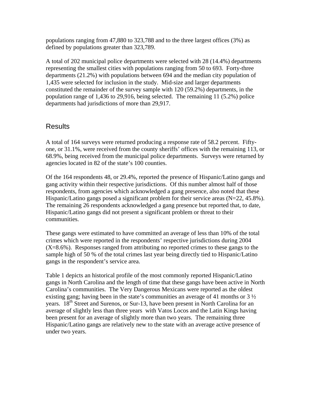populations ranging from 47,880 to 323,788 and to the three largest offices (3%) as defined by populations greater than 323,789.

A total of 202 municipal police departments were selected with 28 (14.4%) departments representing the smallest cities with populations ranging from 50 to 693. Forty-three departments (21.2%) with populations between 694 and the median city population of 1,435 were selected for inclusion in the study. Mid-size and larger departments constituted the remainder of the survey sample with 120 (59.2%) departments, in the population range of 1,436 to 29,916, being selected. The remaining 11 (5.2%) police departments had jurisdictions of more than 29,917.

# **Results**

A total of 164 surveys were returned producing a response rate of 58.2 percent. Fiftyone, or 31.1%, were received from the county sheriffs' offices with the remaining 113, or 68.9%, being received from the municipal police departments. Surveys were returned by agencies located in 82 of the state's 100 counties.

Of the 164 respondents 48, or 29.4%, reported the presence of Hispanic/Latino gangs and gang activity within their respective jurisdictions. Of this number almost half of those respondents, from agencies which acknowledged a gang presence, also noted that these Hispanic/Latino gangs posed a significant problem for their service areas  $(N=22, 45.8\%)$ . The remaining 26 respondents acknowledged a gang presence but reported that, to date, Hispanic/Latino gangs did not present a significant problem or threat to their communities.

These gangs were estimated to have committed an average of less than 10% of the total crimes which were reported in the respondents' respective jurisdictions during 2004  $(X=8.6\%)$ . Responses ranged from attributing no reported crimes to these gangs to the sample high of 50 % of the total crimes last year being directly tied to Hispanic/Latino gangs in the respondent's service area.

Table 1 depicts an historical profile of the most commonly reported Hispanic/Latino gangs in North Carolina and the length of time that these gangs have been active in North Carolina's communities. The Very Dangerous Mexicans were reported as the oldest existing gang; having been in the state's communities an average of 41 months or 3 ½ years. 18<sup>th</sup> Street and Surenos, or Sur-13, have been present in North Carolina for an average of slightly less than three years with Vatos Locos and the Latin Kings having been present for an average of slightly more than two years. The remaining three Hispanic/Latino gangs are relatively new to the state with an average active presence of under two years.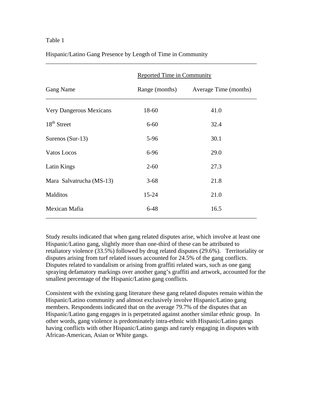#### Table 1

|                                | Reported Time in Community |                                      |  |  |
|--------------------------------|----------------------------|--------------------------------------|--|--|
| Gang Name                      |                            | Range (months) Average Time (months) |  |  |
| <b>Very Dangerous Mexicans</b> | 18-60                      | 41.0                                 |  |  |
| $18th$ Street                  | $6 - 60$                   | 32.4                                 |  |  |
| Surenos (Sur-13)               | 5-96                       | 30.1                                 |  |  |
| Vatos Locos                    | 6-96                       | 29.0                                 |  |  |
| Latin Kings                    | $2 - 60$                   | 27.3                                 |  |  |
| Mara Salvatrucha (MS-13)       | $3 - 68$                   | 21.8                                 |  |  |
| Malditos                       | $15 - 24$                  | 21.0                                 |  |  |
| Mexican Mafia                  | $6 - 48$                   | 16.5                                 |  |  |

\_\_\_\_\_\_\_\_\_\_\_\_\_\_\_\_\_\_\_\_\_\_\_\_\_\_\_\_\_\_\_\_\_\_\_\_\_\_\_\_\_\_\_\_\_\_\_\_\_\_\_\_\_\_\_\_\_\_\_\_\_\_\_\_\_\_\_\_\_

Hispanic/Latino Gang Presence by Length of Time in Community

Study results indicated that when gang related disputes arise, which involve at least one Hispanic/Latino gang, slightly more than one-third of these can be attributed to retaliatory violence (33.5%) followed by drug related disputes (29.6%). Territoriality or disputes arising from turf related issues accounted for 24.5% of the gang conflicts. Disputes related to vandalism or arising from graffiti related wars, such as one gang spraying defamatory markings over another gang's graffiti and artwork, accounted for the smallest percentage of the Hispanic/Latino gang conflicts.

Consistent with the existing gang literature these gang related disputes remain within the Hispanic/Latino community and almost exclusively involve Hispanic/Latino gang members. Respondents indicated that on the average 79.7% of the disputes that an Hispanic/Latino gang engages in is perpetrated against another similar ethnic group. In other words, gang violence is predominately intra-ethnic with Hispanic/Latino gangs having conflicts with other Hispanic/Latino gangs and rarely engaging in disputes with African-American, Asian or White gangs.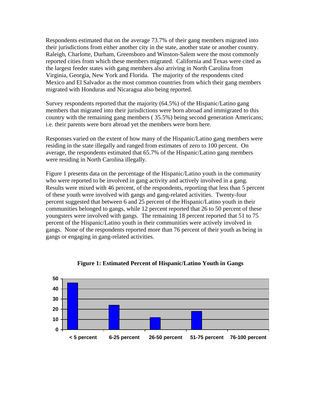Respondents estimated that on the average 73.7% of their gang members migrated into their jurisdictions from either another city in the state, another state or another country. Raleigh, Charlotte, Durham, Greensboro and Winston-Salem were the most commonly reported cities from which these members migrated. California and Texas were cited as the largest feeder states with gang members also arriving in North Carolina from Virginia, Georgia, New York and Florida. The majority of the respondents cited Mexico and El Salvador as the most common countries from which their gang members migrated with Honduras and Nicaragua also being reported.

Survey respondents reported that the majority (64.5%) of the Hispanic/Latino gang members that migrated into their jurisdictions were born abroad and immigrated to this country with the remaining gang members ( 35.5%) being second generation Americans; i.e. their parents were born abroad yet the members were born here.

Responses varied on the extent of how many of the Hispanic/Latino gang members were residing in the state illegally and ranged from estimates of zero to 100 percent. On average, the respondents estimated that 65.7% of the Hispanic/Latino gang members were residing in North Carolina illegally.

Figure 1 presents data on the percentage of the Hispanic/Latino youth in the community who were reported to be involved in gang activity and actively involved in a gang. Results were mixed with 46 percent, of the respondents, reporting that less than 5 percent of these youth were involved with gangs and gang-related activities. Twenty-four percent suggested that between 6 and 25 percent of the Hispanic/Latino youth in their communities belonged to gangs, while 12 percent reported that 26 to 50 percent of these youngsters were involved with gangs. The remaining 18 percent reported that 51 to 75 percent of the Hispanic/Latino youth in their communities were actively involved in gangs. None of the respondents reported more than 76 percent of their youth as being in gangs or engaging in gang-related activities.



**Figure 1: Estimated Percent of Hispanic/Latino Youth in Gangs**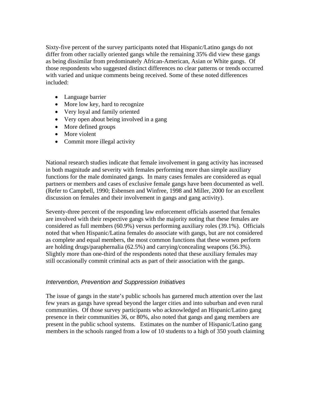Sixty-five percent of the survey participants noted that Hispanic/Latino gangs do not differ from other racially oriented gangs while the remaining 35% did view these gangs as being dissimilar from predominately African-American, Asian or White gangs. Of those respondents who suggested distinct differences no clear patterns or trends occurred with varied and unique comments being received. Some of these noted differences included:

- Language barrier
- More low key, hard to recognize
- Very loyal and family oriented
- Very open about being involved in a gang
- More defined groups
- More violent
- Commit more illegal activity

National research studies indicate that female involvement in gang activity has increased in both magnitude and severity with females performing more than simple auxiliary functions for the male dominated gangs. In many cases females are considered as equal partners or members and cases of exclusive female gangs have been documented as well. (Refer to Campbell, 1990; Esbensen and Winfree, 1998 and Miller, 2000 for an excellent discussion on females and their involvement in gangs and gang activity).

Seventy-three percent of the responding law enforcement officials asserted that females are involved with their respective gangs with the majority noting that these females are considered as full members (60.9%) versus performing auxiliary roles (39.1%). Officials noted that when Hispanic/Latina females do associate with gangs, but are not considered as complete and equal members, the most common functions that these women perform are holding drugs/paraphernalia (62.5%) and carrying/concealing weapons (56.3%). Slightly more than one-third of the respondents noted that these auxiliary females may still occasionally commit criminal acts as part of their association with the gangs.

#### *Intervention, Prevention and Suppression Initiatives*

The issue of gangs in the state's public schools has garnered much attention over the last few years as gangs have spread beyond the larger cities and into suburban and even rural communities. Of those survey participants who acknowledged an Hispanic/Latino gang presence in their communities 36, or 80%, also noted that gangs and gang members are present in the public school systems. Estimates on the number of Hispanic/Latino gang members in the schools ranged from a low of 10 students to a high of 350 youth claiming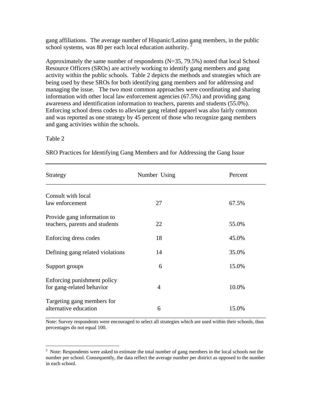gang affiliations. The average number of Hispanic/Latino gang members, in the public school systems, was 80 per each local education authority.

Approximately the same number of respondents  $(N=35, 79.5%)$  noted that local School Resource Officers (SROs) are actively working to identify gang members and gang activity within the public schools. Table 2 depicts the methods and strategies which are being used by these SROs for both identifying gang members and for addressing and managing the issue. The two most common approaches were coordinating and sharing information with other local law enforcement agencies (67.5%) and providing gang awareness and identification information to teachers, parents and students (55.0%). Enforcing school dress codes to alleviate gang related apparel was also fairly common and was reported as one strategy by 45 percent of those who recognize gang members and gang activities within the schools.

#### Table 2

 $\overline{a}$ 

| Strategy                                                      | Number Using   | Percent |
|---------------------------------------------------------------|----------------|---------|
| Consult with local                                            |                |         |
| law enforcement                                               | 27             | 67.5%   |
| Provide gang information to<br>teachers, parents and students | 22             | 55.0%   |
|                                                               |                |         |
| Enforcing dress codes                                         | 18             | 45.0%   |
| Defining gang related violations                              | 14             | 35.0%   |
| Support groups                                                | 6              | 15.0%   |
| Enforcing punishment policy<br>for gang-related behavior      | $\overline{4}$ | 10.0%   |
| Targeting gang members for<br>alternative education           | 6              | 15.0%   |

SRO Practices for Identifying Gang Members and for Addressing the Gang Issue

Note: Survey respondents were encouraged to select all strategies which are used within their schools, thus percentages do not equal 100.

 $2$  Note: Respondents were asked to estimate the total number of gang members in the local schools not the number per school. Consequently, the data reflect the average number per district as opposed to the number in each school.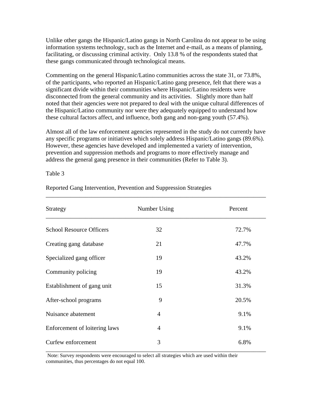Unlike other gangs the Hispanic/Latino gangs in North Carolina do not appear to be using information systems technology, such as the Internet and e-mail, as a means of planning, facilitating, or discussing criminal activity. Only 13.8 % of the respondents stated that these gangs communicated through technological means.

Commenting on the general Hispanic/Latino communities across the state 31, or 73.8%, of the participants, who reported an Hispanic/Latino gang presence, felt that there was a significant divide within their communities where Hispanic/Latino residents were disconnected from the general community and its activities. Slightly more than half noted that their agencies were not prepared to deal with the unique cultural differences of the Hispanic/Latino community nor were they adequately equipped to understand how these cultural factors affect, and influence, both gang and non-gang youth (57.4%).

Almost all of the law enforcement agencies represented in the study do not currently have any specific programs or initiatives which solely address Hispanic/Latino gangs (89.6%). However, these agencies have developed and implemented a variety of intervention, prevention and suppression methods and programs to more effectively manage and address the general gang presence in their communities (Refer to Table 3).

\_\_\_\_\_\_\_\_\_\_\_\_\_\_\_\_\_\_\_\_\_\_\_\_\_\_\_\_\_\_\_\_\_\_\_\_\_\_\_\_\_\_\_\_\_\_\_\_\_\_\_\_\_\_\_\_\_\_\_\_\_\_\_\_\_\_\_\_\_\_\_\_

#### Table 3

| Strategy                        | Number Using   | Percent |
|---------------------------------|----------------|---------|
| <b>School Resource Officers</b> | 32             | 72.7%   |
| Creating gang database          | 21             | 47.7%   |
| Specialized gang officer        | 19             | 43.2%   |
| Community policing              | 19             | 43.2%   |
| Establishment of gang unit      | 15             | 31.3%   |
| After-school programs           | 9              | 20.5%   |
| Nuisance abatement              | $\overline{4}$ | 9.1%    |
| Enforcement of loitering laws   | $\overline{4}$ | 9.1%    |
| Curfew enforcement              | 3              | 6.8%    |

Reported Gang Intervention, Prevention and Suppression Strategies

Note: Survey respondents were encouraged to select all strategies which are used within their communities, thus percentages do not equal 100.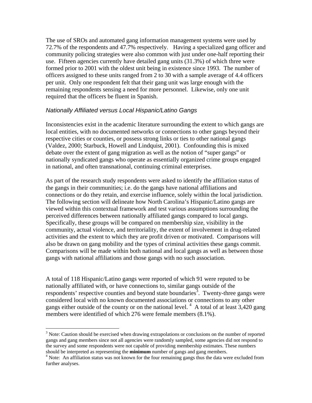The use of SROs and automated gang information management systems were used by 72.7% of the respondents and 47.7% respectively. Having a specialized gang officer and community policing strategies were also common with just under one-half reporting their use. Fifteen agencies currently have detailed gang units (31.3%) of which three were formed prior to 2001 with the oldest unit being in existence since 1993. The number of officers assigned to these units ranged from 2 to 30 with a sample average of 4.4 officers per unit. Only one respondent felt that their gang unit was large enough with the remaining respondents sensing a need for more personnel. Likewise, only one unit required that the officers be fluent in Spanish.

#### *Nationally Affiliated versus Local Hispanic/Latino Gangs*

Inconsistencies exist in the academic literature surrounding the extent to which gangs are local entities, with no documented networks or connections to other gangs beyond their respective cities or counties, or possess strong links or ties to other national gangs (Valdez, 2000; Starbuck, Howell and Lindquist, 2001). Confounding this is mixed debate over the extent of gang migration as well as the notion of "super gangs" or nationally syndicated gangs who operate as essentially organized crime groups engaged in national, and often transnational, continuing criminal enterprises.

As part of the research study respondents were asked to identify the affiliation status of the gangs in their communities; i.e. do the gangs have national affiliations and connections or do they retain, and exercise influence, solely within the local jurisdiction. The following section will delineate how North Carolina's Hispanic/Latino gangs are viewed within this contextual framework and test various assumptions surrounding the perceived differences between nationally affiliated gangs compared to local gangs. Specifically, these groups will be compared on membership size, visibility in the community, actual violence, and territoriality, the extent of involvement in drug-related activities and the extent to which they are profit driven or motivated. Comparisons will also be drawn on gang mobility and the types of criminal activities these gangs commit. Comparisons will be made within both national and local gangs as well as between those gangs with national affiliations and those gangs with no such association.

A total of 118 Hispanic/Latino gangs were reported of which 91 were reputed to be nationally affiliated with, or have connections to, similar gangs outside of the respondents' respective counties and beyond state boundaries<sup>3</sup>. Twenty-three gangs were considered local with no known documented associations or connections to any other gangs either outside of the county or on the national level.<sup>4</sup> A total of at least  $3,420$  gang members were identified of which 276 were female members (8.1%).

 $\overline{a}$ 

 $3$  Note: Caution should be exercised when drawing extrapolations or conclusions on the number of reported gangs and gang members since not all agencies were randomly sampled, some agencies did not respond to the survey and some respondents were not capable of providing membership estimates. These numbers should be interpreted as representing the **minimum** number of gangs and gang members. 4

<sup>&</sup>lt;sup>4</sup> Note: An affiliation status was not known for the four remaining gangs thus the data were excluded from further analyses.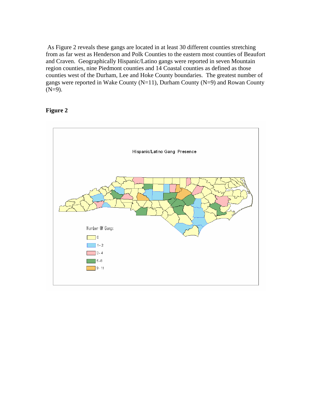As Figure 2 reveals these gangs are located in at least 30 different counties stretching from as far west as Henderson and Polk Counties to the eastern most counties of Beaufort and Craven. Geographically Hispanic/Latino gangs were reported in seven Mountain region counties, nine Piedmont counties and 14 Coastal counties as defined as those counties west of the Durham, Lee and Hoke County boundaries. The greatest number of gangs were reported in Wake County (N=11), Durham County (N=9) and Rowan County  $(N=9)$ .

#### **Figure 2**

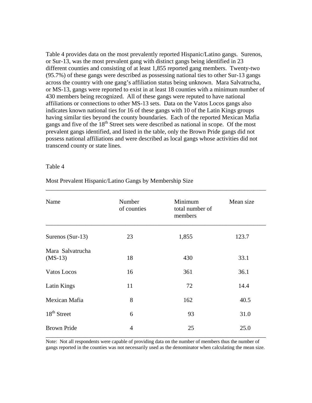Table 4 provides data on the most prevalently reported Hispanic/Latino gangs. Surenos, or Sur-13, was the most prevalent gang with distinct gangs being identified in 23 different counties and consisting of at least 1,855 reported gang members. Twenty-two (95.7%) of these gangs were described as possessing national ties to other Sur-13 gangs across the country with one gang's affiliation status being unknown. Mara Salvatrucha, or MS-13, gangs were reported to exist in at least 18 counties with a minimum number of 430 members being recognized. All of these gangs were reputed to have national affiliations or connections to other MS-13 sets. Data on the Vatos Locos gangs also indicates known national ties for 16 of these gangs with 10 of the Latin Kings groups having similar ties beyond the county boundaries. Each of the reported Mexican Mafia gangs and five of the 18<sup>th</sup> Street sets were described as national in scope. Of the most prevalent gangs identified, and listed in the table, only the Brown Pride gangs did not possess national affiliations and were described as local gangs whose activities did not transcend county or state lines.

#### Table 4

| Name                          | Number<br>of counties | Minimum<br>total number of<br>members | Mean size |
|-------------------------------|-----------------------|---------------------------------------|-----------|
| Surenos (Sur-13)              | 23                    | 1,855                                 | 123.7     |
| Mara Salvatrucha<br>$(MS-13)$ | 18                    | 430                                   | 33.1      |
| Vatos Locos                   | 16                    | 361                                   | 36.1      |
| Latin Kings                   | 11                    | 72                                    | 14.4      |
| Mexican Mafia                 | 8                     | 162                                   | 40.5      |
| 18 <sup>th</sup> Street       | 6                     | 93                                    | 31.0      |
| <b>Brown Pride</b>            | $\overline{4}$        | 25                                    | 25.0      |

\_\_\_\_\_\_\_\_\_\_\_\_\_\_\_\_\_\_\_\_\_\_\_\_\_\_\_\_\_\_\_\_\_\_\_\_\_\_\_\_\_\_\_\_\_\_\_\_\_\_\_\_\_\_\_\_\_\_\_\_\_\_\_\_\_\_\_\_\_\_\_\_

Most Prevalent Hispanic/Latino Gangs by Membership Size

Note: Not all respondents were capable of providing data on the number of members thus the number of gangs reported in the counties was not necessarily used as the denominator when calculating the mean size.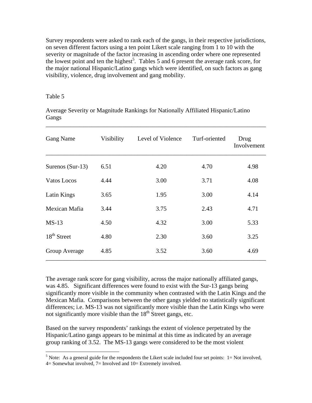Survey respondents were asked to rank each of the gangs, in their respective jurisdictions, on seven different factors using a ten point Likert scale ranging from 1 to 10 with the severity or magnitude of the factor increasing in ascending order where one represented the lowest point and ten the highest<sup>5</sup>. Tables 5 and 6 present the average rank score, for the major national Hispanic/Latino gangs which were identified, on such factors as gang visibility, violence, drug involvement and gang mobility.

#### Table 5

Average Severity or Magnitude Rankings for Nationally Affiliated Hispanic/Latino Gangs

\_\_\_\_\_\_\_\_\_\_\_\_\_\_\_\_\_\_\_\_\_\_\_\_\_\_\_\_\_\_\_\_\_\_\_\_\_\_\_\_\_\_\_\_\_\_\_\_\_\_\_\_\_\_\_\_\_\_\_\_\_\_\_\_\_\_\_\_\_\_\_\_

| Gang Name          | Visibility | Level of Violence | Turf-oriented | Drug<br>Involvement |
|--------------------|------------|-------------------|---------------|---------------------|
| Surenos $(Sur-13)$ | 6.51       | 4.20              | 4.70          | 4.98                |
| Vatos Locos        | 4.44       | 3.00              | 3.71          | 4.08                |
| Latin Kings        | 3.65       | 1.95              | 3.00          | 4.14                |
| Mexican Mafia      | 3.44       | 3.75              | 2.43          | 4.71                |
| $MS-13$            | 4.50       | 4.32              | 3.00          | 5.33                |
| $18th$ Street      | 4.80       | 2.30              | 3.60          | 3.25                |
| Group Average      | 4.85       | 3.52              | 3.60          | 4.69                |

The average rank score for gang visibility, across the major nationally affiliated gangs, was 4.85. Significant differences were found to exist with the Sur-13 gangs being significantly more visible in the community when contrasted with the Latin Kings and the Mexican Mafia. Comparisons between the other gangs yielded no statistically significant differences; i.e. MS-13 was not significantly more visible than the Latin Kings who were not significantly more visible than the  $18<sup>th</sup>$  Street gangs, etc.

Based on the survey respondents' rankings the extent of violence perpetrated by the Hispanic/Latino gangs appears to be minimal at this time as indicated by an average group ranking of 3.52. The MS-13 gangs were considered to be the most violent

 $\frac{5}{5}$  Note: As a general guide for the respondents the Likert scale included four set points: 1= Not involved,

 $4=$  Somewhat involved,  $7=$  Involved and  $10=$  Extremely involved.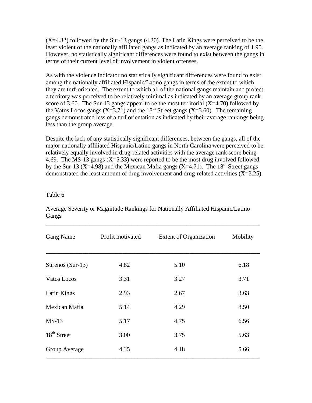$(X=4.32)$  followed by the Sur-13 gangs  $(4.20)$ . The Latin Kings were perceived to be the least violent of the nationally affiliated gangs as indicated by an average ranking of 1.95. However, no statistically significant differences were found to exist between the gangs in terms of their current level of involvement in violent offenses.

As with the violence indicator no statistically significant differences were found to exist among the nationally affiliated Hispanic/Latino gangs in terms of the extent to which they are turf-oriented. The extent to which all of the national gangs maintain and protect a territory was perceived to be relatively minimal as indicated by an average group rank score of 3.60. The Sur-13 gangs appear to be the most territorial  $(X=4.70)$  followed by the Vatos Locos gangs  $(X=3.71)$  and the 18<sup>th</sup> Street gangs  $(X=3.60)$ . The remaining gangs demonstrated less of a turf orientation as indicated by their average rankings being less than the group average.

Despite the lack of any statistically significant differences, between the gangs, all of the major nationally affiliated Hispanic/Latino gangs in North Carolina were perceived to be relatively equally involved in drug-related activities with the average rank score being 4.69. The MS-13 gangs  $(X=5.33)$  were reported to be the most drug involved followed by the Sur-13 (X=4.98) and the Mexican Mafia gangs (X=4.71). The  $18<sup>th</sup>$  Street gangs demonstrated the least amount of drug involvement and drug-related activities  $(X=3.25)$ .

#### Table 6

| <b>Gang Name</b>   | Profit motivated | <b>Extent of Organization</b> | Mobility |
|--------------------|------------------|-------------------------------|----------|
| Surenos $(Sur-13)$ | 4.82             | 5.10                          | 6.18     |
| Vatos Locos        | 3.31             | 3.27                          | 3.71     |
| Latin Kings        | 2.93             | 2.67                          | 3.63     |
| Mexican Mafia      | 5.14             | 4.29                          | 8.50     |
| $MS-13$            | 5.17             | 4.75                          | 6.56     |
| $18th$ Street      | 3.00             | 3.75                          | 5.63     |
| Group Average      | 4.35             | 4.18                          | 5.66     |

Average Severity or Magnitude Rankings for Nationally Affiliated Hispanic/Latino Gangs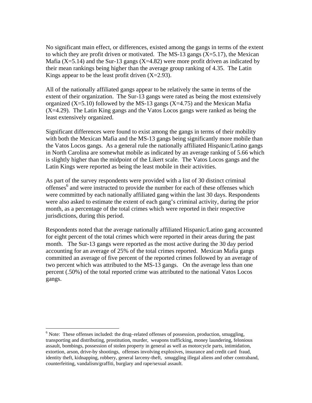No significant main effect, or differences, existed among the gangs in terms of the extent to which they are profit driven or motivated. The MS-13 gangs  $(X=5.17)$ , the Mexican Mafia  $(X=5.14)$  and the Sur-13 gangs  $(X=4.82)$  were more profit driven as indicated by their mean rankings being higher than the average group ranking of 4.35. The Latin Kings appear to be the least profit driven  $(X=2.93)$ .

All of the nationally affiliated gangs appear to be relatively the same in terms of the extent of their organization. The Sur-13 gangs were rated as being the most extensively organized  $(X=5.10)$  followed by the MS-13 gangs  $(X=4.75)$  and the Mexican Mafia (X=4.29). The Latin King gangs and the Vatos Locos gangs were ranked as being the least extensively organized.

Significant differences were found to exist among the gangs in terms of their mobility with both the Mexican Mafia and the MS-13 gangs being significantly more mobile than the Vatos Locos gangs. As a general rule the nationally affiliated Hispanic/Latino gangs in North Carolina are somewhat mobile as indicated by an average ranking of 5.66 which is slightly higher than the midpoint of the Likert scale. The Vatos Locos gangs and the Latin Kings were reported as being the least mobile in their activities.

As part of the survey respondents were provided with a list of 30 distinct criminal offenses<sup>6</sup> and were instructed to provide the number for each of these offenses which were committed by each nationally affiliated gang within the last 30 days. Respondents were also asked to estimate the extent of each gang's criminal activity, during the prior month, as a percentage of the total crimes which were reported in their respective jurisdictions, during this period.

Respondents noted that the average nationally affiliated Hispanic/Latino gang accounted for eight percent of the total crimes which were reported in their areas during the past month. The Sur-13 gangs were reported as the most active during the 30 day period accounting for an average of 25% of the total crimes reported. Mexican Mafia gangs committed an average of five percent of the reported crimes followed by an average of two percent which was attributed to the MS-13 gangs. On the average less than one percent (.50%) of the total reported crime was attributed to the national Vatos Locos gangs.

 $\overline{a}$ 

 $6$  Note: These offenses included: the drug-related offenses of possession, production, smuggling, transporting and distributing, prostitution, murder, weapons trafficking, money laundering, felonious assault, bombings, possession of stolen property in general as well as motorcycle parts, intimidation, extortion, arson, drive-by shootings, offenses involving explosives, insurance and credit card fraud, identity theft, kidnapping, robbery, general larceny-theft, smuggling illegal aliens and other contraband, counterfeiting, vandalism/graffiti, burglary and rape/sexual assault.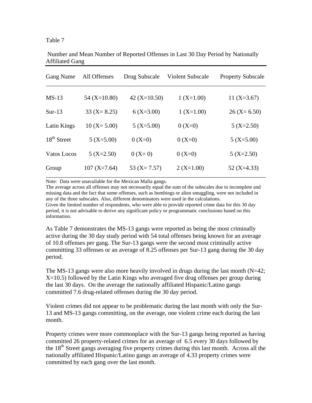|  | . . |  |
|--|-----|--|
|--|-----|--|

| <b>Gang Name</b> | All Offenses    | Drug Subscale   | Violent Subscale | <b>Property Subscale</b> |
|------------------|-----------------|-----------------|------------------|--------------------------|
| $MS-13$          | $54 (X=10.80)$  | $42 (X=10.50)$  | $1 (X=1.00)$     | $11 (X=3.67)$            |
| $Sur-13$         | $33 (X = 8.25)$ | $6(X=3.00)$     | $1 (X=1.00)$     | $26 (X=6.50)$            |
| Latin Kings      | $10 (X = 5.00)$ | $5 (X=5.00)$    | $0(X=0)$         | $5 (X=2.50)$             |
| $18th$ Street    | $5 (X=5.00)$    | $0(X=0)$        | $0(X=0)$         | $5 (X=5.00)$             |
| Vatos Locos      | $5 (X=2.50)$    | $0 (X=0)$       | $0(X=0)$         | $5 (X=2.50)$             |
| Group            | $107 (X=7.64)$  | 53 $(X = 7.57)$ | $2 (X=1.00)$     | 52 $(X=4.33)$            |

 Number and Mean Number of Reported Offenses in Last 30 Day Period by Nationally Affiliated Gang

Note: Data were unavailable for the Mexican Mafia gangs.

The average across all offenses may not necessarily equal the sum of the subscales due to incomplete and missing data and the fact that some offenses, such as bombings or alien smuggling, were not included in any of the three subscales. Also, different denominators were used in the calculations. Given the limited number of respondents, who were able to provide reported crime data for this 30 day period, it is not advisable to derive any significant policy or programmatic conclusions based on this information.

As Table 7 demonstrates the MS-13 gangs were reported as being the most criminally active during the 30 day study period with 54 total offenses being known for an average of 10.8 offenses per gang. The Sur-13 gangs were the second most criminally active committing 33 offenses or an average of 8.25 offenses per Sur-13 gang during the 30 day period.

The MS-13 gangs were also more heavily involved in drugs during the last month  $(N=42;$  $X=10.5$ ) followed by the Latin Kings who averaged five drug offenses per group during the last 30 days. On the average the nationally affiliated Hispanic/Latino gangs committed 7.6 drug-related offenses during the 30 day period.

Violent crimes did not appear to be problematic during the last month with only the Sur-13 and MS-13 gangs committing, on the average, one violent crime each during the last month.

Property crimes were more commonplace with the Sur-13 gangs being reported as having committed 26 property-related crimes for an average of 6.5 every 30 days followed by the  $18<sup>th</sup>$  Street gangs averaging five property crimes during this last month. Across all the nationally affiliated Hispanic/Latino gangs an average of 4.33 property crimes were committed by each gang over the last month.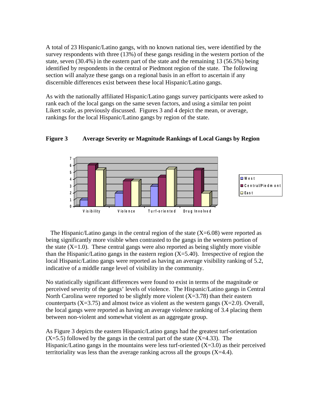A total of 23 Hispanic/Latino gangs, with no known national ties, were identified by the survey respondents with three (13%) of these gangs residing in the western portion of the state, seven (30.4%) in the eastern part of the state and the remaining 13 (56.5%) being identified by respondents in the central or Piedmont region of the state. The following section will analyze these gangs on a regional basis in an effort to ascertain if any discernible differences exist between these local Hispanic/Latino gangs.

As with the nationally affiliated Hispanic/Latino gangs survey participants were asked to rank each of the local gangs on the same seven factors, and using a similar ten point Likert scale, as previously discussed. Figures 3 and 4 depict the mean, or average, rankings for the local Hispanic/Latino gangs by region of the state.



**Figure 3 Average Severity or Magnitude Rankings of Local Gangs by Region** 

The Hispanic/Latino gangs in the central region of the state  $(X=6.08)$  were reported as being significantly more visible when contrasted to the gangs in the western portion of the state  $(X=1.0)$ . These central gangs were also reported as being slightly more visible than the Hispanic/Latino gangs in the eastern region  $(X=5.40)$ . Irrespective of region the local Hispanic/Latino gangs were reported as having an average visibility ranking of 5.2, indicative of a middle range level of visibility in the community.

No statistically significant differences were found to exist in terms of the magnitude or perceived severity of the gangs' levels of violence. The Hispanic/Latino gangs in Central North Carolina were reported to be slightly more violent  $(X=3.78)$  than their eastern counterparts  $(X=3.75)$  and almost twice as violent as the western gangs  $(X=2.0)$ . Overall, the local gangs were reported as having an average violence ranking of 3.4 placing them between non-violent and somewhat violent as an aggregate group.

As Figure 3 depicts the eastern Hispanic/Latino gangs had the greatest turf-orientation  $(X=5.5)$  followed by the gangs in the central part of the state  $(X=4.33)$ . The Hispanic/Latino gangs in the mountains were less turf-oriented  $(X=3.0)$  as their perceived territoriality was less than the average ranking across all the groups  $(X=4.4)$ .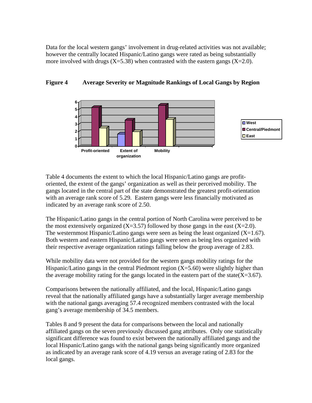Data for the local western gangs' involvement in drug-related activities was not available; however the centrally located Hispanic/Latino gangs were rated as being substantially more involved with drugs  $(X=5.38)$  when contrasted with the eastern gangs  $(X=2.0)$ .



#### **Figure 4 Average Severity or Magnitude Rankings of Local Gangs by Region**

Table 4 documents the extent to which the local Hispanic/Latino gangs are profitoriented, the extent of the gangs' organization as well as their perceived mobility. The gangs located in the central part of the state demonstrated the greatest profit-orientation with an average rank score of 5.29. Eastern gangs were less financially motivated as indicated by an average rank score of 2.50.

The Hispanic/Latino gangs in the central portion of North Carolina were perceived to be the most extensively organized  $(X=3.57)$  followed by those gangs in the east  $(X=2.0)$ . The westernmost Hispanic/Latino gangs were seen as being the least organized  $(X=1.67)$ . Both western and eastern Hispanic/Latino gangs were seen as being less organized with their respective average organization ratings falling below the group average of 2.83.

While mobility data were not provided for the western gangs mobility ratings for the Hispanic/Latino gangs in the central Piedmont region  $(X=5.60)$  were slightly higher than the average mobility rating for the gangs located in the eastern part of the state( $X=3.67$ ).

Comparisons between the nationally affiliated, and the local, Hispanic/Latino gangs reveal that the nationally affiliated gangs have a substantially larger average membership with the national gangs averaging 57.4 recognized members contrasted with the local gang's average membership of 34.5 members.

Tables 8 and 9 present the data for comparisons between the local and nationally affiliated gangs on the seven previously discussed gang attributes. Only one statistically significant difference was found to exist between the nationally affiliated gangs and the local Hispanic/Latino gangs with the national gangs being significantly more organized as indicated by an average rank score of 4.19 versus an average rating of 2.83 for the local gangs.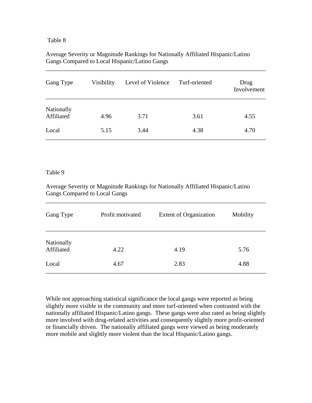#### Table 8

#### Average Severity or Magnitude Rankings for Nationally Affiliated Hispanic/Latino Gangs Compared to Local Hispanic/Latino Gangs

| Gang Type                | Visibility | Level of Violence | Turf-oriented | Drug<br>Involvement |
|--------------------------|------------|-------------------|---------------|---------------------|
| Nationally<br>Affiliated | 4.96       | 3.71              | 3.61          | 4.55                |
| Local                    | 5.15       | 3.44              | 4.38          | 4.70                |

\_\_\_\_\_\_\_\_\_\_\_\_\_\_\_\_\_\_\_\_\_\_\_\_\_\_\_\_\_\_\_\_\_\_\_\_\_\_\_\_\_\_\_\_\_\_\_\_\_\_\_\_\_\_\_\_\_\_\_\_\_\_\_\_\_\_\_\_\_\_\_\_

#### Table 9

Average Severity or Magnitude Rankings for Nationally Affiliated Hispanic/Latino Gangs Compared to Local Gangs

| Gang Type                | Profit motivated | <b>Extent of Organization</b> | Mobility |
|--------------------------|------------------|-------------------------------|----------|
| Nationally<br>Affiliated | 4.22             | 4.19                          | 5.76     |
| Local                    | 4.67             | 2.83                          | 4.88     |

\_\_\_\_\_\_\_\_\_\_\_\_\_\_\_\_\_\_\_\_\_\_\_\_\_\_\_\_\_\_\_\_\_\_\_\_\_\_\_\_\_\_\_\_\_\_\_\_\_\_\_\_\_\_\_\_\_\_\_\_\_\_\_\_\_\_\_\_\_\_\_\_

While not approaching statistical significance the local gangs were reported as being slightly more visible in the community and more turf-oriented when contrasted with the nationally affiliated Hispanic/Latino gangs. These gangs were also rated as being slightly more involved with drug-related activities and consequently slightly more profit-oriented or financially driven. The nationally affiliated gangs were viewed as being moderately more mobile and slightly more violent than the local Hispanic/Latino gangs.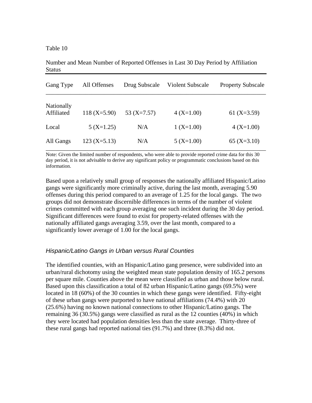Table 10

Number and Mean Number of Reported Offenses in Last 30 Day Period by Affiliation **Status** 

| Gang Type                | All Offenses   | Drug Subscale | <b>Violent Subscale</b> | <b>Property Subscale</b> |
|--------------------------|----------------|---------------|-------------------------|--------------------------|
| Nationally<br>Affiliated | $118 (X=5.90)$ | 53 $(X=7.57)$ | $4(X=1.00)$             | 61 $(X=3.59)$            |
| Local                    | $5 (X=1.25)$   | N/A           | $1 (X=1.00)$            | $4(X=1.00)$              |
| All Gangs                | $123 (X=5.13)$ | N/A           | $5 (X=1.00)$            | $65 (X=3.10)$            |

Note: Given the limited number of respondents, who were able to provide reported crime data for this 30 day period, it is not advisable to derive any significant policy or programmatic conclusions based on this information.

Based upon a relatively small group of responses the nationally affiliated Hispanic/Latino gangs were significantly more criminally active, during the last month, averaging 5.90 offenses during this period compared to an average of 1.25 for the local gangs. The two groups did not demonstrate discernible differences in terms of the number of violent crimes committed with each group averaging one such incident during the 30 day period. Significant differences were found to exist for property-related offenses with the nationally affiliated gangs averaging 3.59, over the last month, compared to a significantly lower average of 1.00 for the local gangs.

#### *Hispanic/Latino Gangs in Urban versus Rural Counties*

The identified counties, with an Hispanic/Latino gang presence, were subdivided into an urban/rural dichotomy using the weighted mean state population density of 165.2 persons per square mile. Counties above the mean were classified as urban and those below rural. Based upon this classification a total of 82 urban Hispanic/Latino gangs (69.5%) were located in 18 (60%) of the 30 counties in which these gangs were identified. Fifty-eight of these urban gangs were purported to have national affiliations (74.4%) with 20 (25.6%) having no known national connections to other Hispanic/Latino gangs. The remaining 36 (30.5%) gangs were classified as rural as the 12 counties (40%) in which they were located had population densities less than the state average. Thirty-three of these rural gangs had reported national ties (91.7%) and three (8.3%) did not.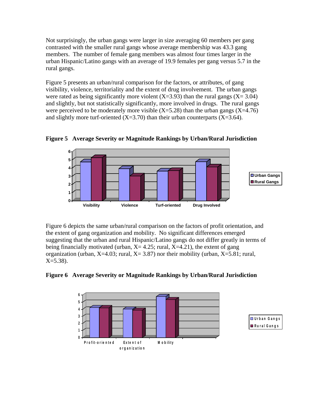Not surprisingly, the urban gangs were larger in size averaging 60 members per gang contrasted with the smaller rural gangs whose average membership was 43.3 gang members. The number of female gang members was almost four times larger in the urban Hispanic/Latino gangs with an average of 19.9 females per gang versus 5.7 in the rural gangs.

Figure 5 presents an urban/rural comparison for the factors, or attributes, of gang visibility, violence, territoriality and the extent of drug involvement. The urban gangs were rated as being significantly more violent  $(X=3.93)$  than the rural gangs  $(X=3.04)$ and slightly, but not statistically significantly, more involved in drugs. The rural gangs were perceived to be moderately more visible  $(X=5.28)$  than the urban gangs  $(X=4.76)$ and slightly more turf-oriented  $(X=3.70)$  than their urban counterparts  $(X=3.64)$ .



**Figure 5 Average Severity or Magnitude Rankings by Urban/Rural Jurisdiction** 

Figure 6 depicts the same urban/rural comparison on the factors of profit orientation, and the extent of gang organization and mobility. No significant differences emerged suggesting that the urban and rural Hispanic/Latino gangs do not differ greatly in terms of being financially motivated (urban,  $X = 4.25$ ; rural,  $X = 4.21$ ), the extent of gang organization (urban,  $X=4.03$ ; rural,  $X=3.87$ ) nor their mobility (urban,  $X=5.81$ ; rural,  $X = 5.38$ ).



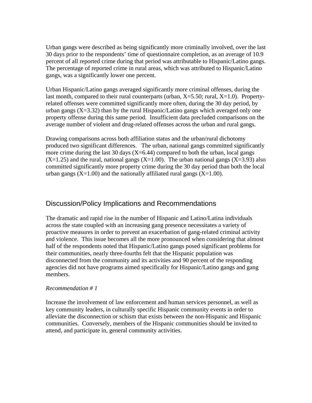Urban gangs were described as being significantly more criminally involved, over the last 30 days prior to the respondents' time of questionnaire completion, as an average of 10.9 percent of all reported crime during that period was attributable to Hispanic/Latino gangs. The percentage of reported crime in rural areas, which was attributed to Hispanic/Latino gangs, was a significantly lower one percent.

Urban Hispanic/Latino gangs averaged significantly more criminal offenses, during the last month, compared to their rural counterparts (urban,  $X=5.50$ ; rural,  $X=1.0$ ). Propertyrelated offenses were committed significantly more often, during the 30 day period, by urban gangs  $(X=3.32)$  than by the rural Hispanic/Latino gangs which averaged only one property offense during this same period. Insufficient data precluded comparisons on the average number of violent and drug-related offenses across the urban and rural gangs.

Drawing comparisons across both affiliation status and the urban/rural dichotomy produced two significant differences. The urban, national gangs committed significantly more crime during the last 30 days  $(X=6.44)$  compared to both the urban, local gangs  $(X=1.25)$  and the rural, national gangs  $(X=1.00)$ . The urban national gangs  $(X=3.93)$  also committed significantly more property crime during the 30 day period than both the local urban gangs ( $X=1.00$ ) and the nationally affiliated rural gangs ( $X=1.00$ ).

# Discussion/Policy Implications and Recommendations

The dramatic and rapid rise in the number of Hispanic and Latino/Latina individuals across the state coupled with an increasing gang presence necessitates a variety of proactive measures in order to prevent an exacerbation of gang-related criminal activity and violence. This issue becomes all the more pronounced when considering that almost half of the respondents noted that Hispanic/Latino gangs posed significant problems for their communities, nearly three-fourths felt that the Hispanic population was disconnected from the community and its activities and 90 percent of the responding agencies did not have programs aimed specifically for Hispanic/Latino gangs and gang members.

#### *Recommendation # 1*

Increase the involvement of law enforcement and human services personnel, as well as key community leaders, in culturally specific Hispanic community events in order to alleviate the disconnection or schism that exists between the non-Hispanic and Hispanic communities. Conversely, members of the Hispanic communities should be invited to attend, and participate in, general community activities.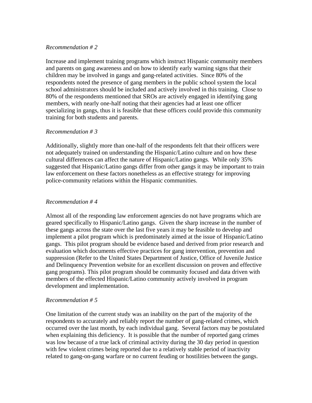#### *Recommendation # 2*

Increase and implement training programs which instruct Hispanic community members and parents on gang awareness and on how to identify early warning signs that their children may be involved in gangs and gang-related activities. Since 80% of the respondents noted the presence of gang members in the public school system the local school administrators should be included and actively involved in this training. Close to 80% of the respondents mentioned that SROs are actively engaged in identifying gang members, with nearly one-half noting that their agencies had at least one officer specializing in gangs, thus it is feasible that these officers could provide this community training for both students and parents.

#### *Recommendation # 3*

Additionally, slightly more than one-half of the respondents felt that their officers were not adequately trained on understanding the Hispanic/Latino culture and on how these cultural differences can affect the nature of Hispanic/Latino gangs. While only 35% suggested that Hispanic/Latino gangs differ from other gangs it may be important to train law enforcement on these factors nonetheless as an effective strategy for improving police-community relations within the Hispanic communities.

#### *Recommendation # 4*

Almost all of the responding law enforcement agencies do not have programs which are geared specifically to Hispanic/Latino gangs. Given the sharp increase in the number of these gangs across the state over the last five years it may be feasible to develop and implement a pilot program which is predominately aimed at the issue of Hispanic/Latino gangs. This pilot program should be evidence based and derived from prior research and evaluation which documents effective practices for gang intervention, prevention and suppression (Refer to the United States Department of Justice, Office of Juvenile Justice and Delinquency Prevention website for an excellent discussion on proven and effective gang programs). This pilot program should be community focused and data driven with members of the effected Hispanic/Latino community actively involved in program development and implementation.

#### *Recommendation # 5*

One limitation of the current study was an inability on the part of the majority of the respondents to accurately and reliably report the number of gang-related crimes, which occurred over the last month, by each individual gang. Several factors may be postulated when explaining this deficiency. It is possible that the number of reported gang crimes was low because of a true lack of criminal activity during the 30 day period in question with few violent crimes being reported due to a relatively stable period of inactivity related to gang-on-gang warfare or no current feuding or hostilities between the gangs.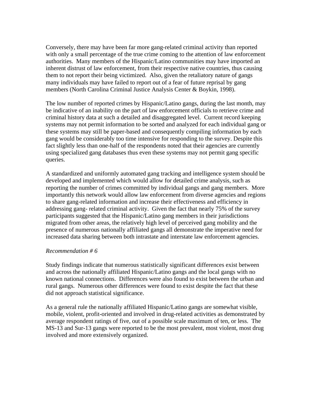Conversely, there may have been far more gang-related criminal activity than reported with only a small percentage of the true crime coming to the attention of law enforcement authorities. Many members of the Hispanic/Latino communities may have imported an inherent distrust of law enforcement, from their respective native countries, thus causing them to not report their being victimized. Also, given the retaliatory nature of gangs many individuals may have failed to report out of a fear of future reprisal by gang members (North Carolina Criminal Justice Analysis Center & Boykin, 1998).

The low number of reported crimes by Hispanic/Latino gangs, during the last month, may be indicative of an inability on the part of law enforcement officials to retrieve crime and criminal history data at such a detailed and disaggregated level. Current record keeping systems may not permit information to be sorted and analyzed for each individual gang or these systems may still be paper-based and consequently compiling information by each gang would be considerably too time intensive for responding to the survey. Despite this fact slightly less than one-half of the respondents noted that their agencies are currently using specialized gang databases thus even these systems may not permit gang specific queries.

A standardized and uniformly automated gang tracking and intelligence system should be developed and implemented which would allow for detailed crime analysis, such as reporting the number of crimes committed by individual gangs and gang members. More importantly this network would allow law enforcement from diverse agencies and regions to share gang-related information and increase their effectiveness and efficiency in addressing gang- related criminal activity. Given the fact that nearly 75% of the survey participants suggested that the Hispanic/Latino gang members in their jurisdictions migrated from other areas, the relatively high level of perceived gang mobility and the presence of numerous nationally affiliated gangs all demonstrate the imperative need for increased data sharing between both intrastate and interstate law enforcement agencies.

#### *Recommendation # 6*

Study findings indicate that numerous statistically significant differences exist between and across the nationally affiliated Hispanic/Latino gangs and the local gangs with no known national connections. Differences were also found to exist between the urban and rural gangs. Numerous other differences were found to exist despite the fact that these did not approach statistical significance.

As a general rule the nationally affiliated Hispanic/Latino gangs are somewhat visible, mobile, violent, profit-oriented and involved in drug-related activities as demonstrated by average respondent ratings of five, out of a possible scale maximum of ten, or less. The MS-13 and Sur-13 gangs were reported to be the most prevalent, most violent, most drug involved and more extensively organized.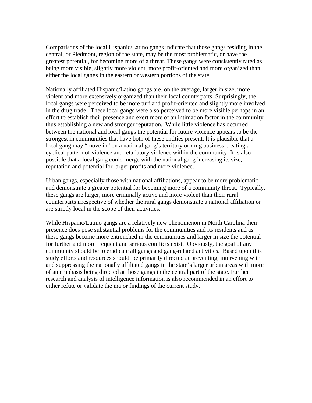Comparisons of the local Hispanic/Latino gangs indicate that those gangs residing in the central, or Piedmont, region of the state, may be the most problematic, or have the greatest potential, for becoming more of a threat. These gangs were consistently rated as being more visible, slightly more violent, more profit-oriented and more organized than either the local gangs in the eastern or western portions of the state.

Nationally affiliated Hispanic/Latino gangs are, on the average, larger in size, more violent and more extensively organized than their local counterparts. Surprisingly, the local gangs were perceived to be more turf and profit-oriented and slightly more involved in the drug trade. These local gangs were also perceived to be more visible perhaps in an effort to establish their presence and exert more of an intimation factor in the community thus establishing a new and stronger reputation. While little violence has occurred between the national and local gangs the potential for future violence appears to be the strongest in communities that have both of these entities present. It is plausible that a local gang may "move in" on a national gang's territory or drug business creating a cyclical pattern of violence and retaliatory violence within the community. It is also possible that a local gang could merge with the national gang increasing its size, reputation and potential for larger profits and more violence.

Urban gangs, especially those with national affiliations, appear to be more problematic and demonstrate a greater potential for becoming more of a community threat. Typically, these gangs are larger, more criminally active and more violent than their rural counterparts irrespective of whether the rural gangs demonstrate a national affiliation or are strictly local in the scope of their activities.

While Hispanic/Latino gangs are a relatively new phenomenon in North Carolina their presence does pose substantial problems for the communities and its residents and as these gangs become more entrenched in the communities and larger in size the potential for further and more frequent and serious conflicts exist. Obviously, the goal of any community should be to eradicate all gangs and gang-related activities. Based upon this study efforts and resources should be primarily directed at preventing, intervening with and suppressing the nationally affiliated gangs in the state's larger urban areas with more of an emphasis being directed at those gangs in the central part of the state. Further research and analysis of intelligence information is also recommended in an effort to either refute or validate the major findings of the current study.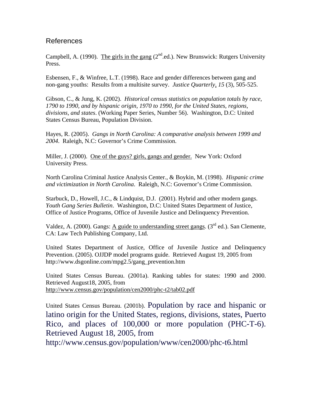# References

Campbell, A. (1990). The girls in the gang  $(2<sup>nd</sup>$ .ed.). New Brunswick: Rutgers University Press.

Esbensen, F., & Winfree, L.T. (1998). Race and gender differences between gang and non-gang youths: Results from a multisite survey. *Justice Quarterly*, *15* (3), 505-525.

Gibson, C., & Jung, K. (2002). *Historical census statistics on population totals by race, 1790 to 1990, and by hispanic origin, 1970 to 1990, for the United States, regions, divisions, and states*. (Working Paper Series, Number 56). Washington, D.C: United States Census Bureau, Population Division.

Hayes, R. (2005). *Gangs in North Carolina: A comparative analysis between 1999 and 2004*. Raleigh, N.C: Governor's Crime Commission.

Miller, J. (2000). One of the guys? girls, gangs and gender. New York: Oxford University Press.

North Carolina Criminal Justice Analysis Center., & Boykin, M. (1998). *Hispanic crime and victimization in North Carolina*. Raleigh, N.C: Governor's Crime Commission.

Starbuck, D., Howell, J.C., & Lindquist, D.J. (2001). Hybrid and other modern gangs. *Youth Gang Series Bulletin*. Washington, D.C: United States Department of Justice, Office of Justice Programs, Office of Juvenile Justice and Delinquency Prevention.

Valdez, A. (2000). Gangs: A guide to understanding street gangs. ( $3<sup>rd</sup>$  ed.). San Clemente, CA: Law Tech Publishing Company, Ltd.

United States Department of Justice, Office of Juvenile Justice and Delinquency Prevention. (2005). OJJDP model programs guide. Retrieved August 19, 2005 from http://www.dsgonline.com/mpg2.5/gang\_prevention.htm

United States Census Bureau. (2001a). Ranking tables for states: 1990 and 2000. Retrieved August18, 2005, from http://www.census.gov/population/cen2000/phc-t2/tab02.pdf

United States Census Bureau. (2001b). Population by race and hispanic or latino origin for the United States, regions, divisions, states, Puerto Rico, and places of 100,000 or more population (PHC-T-6). Retrieved August 18, 2005, from

http://www.census.gov/population/www/cen2000/phc-t6.html